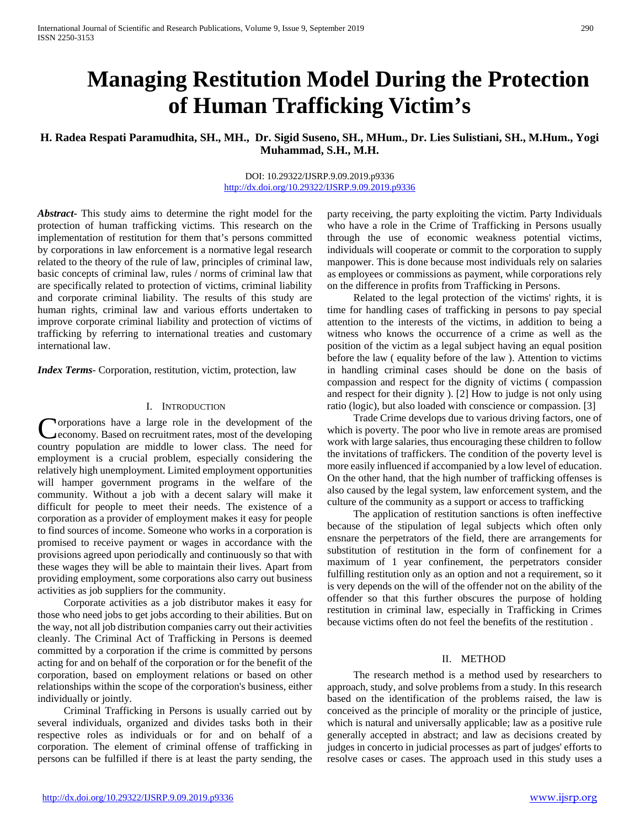# **Managing Restitution Model During the Protection of Human Trafficking Victim's**

# **H. Radea Respati Paramudhita, SH., MH., Dr. Sigid Suseno, SH., MHum., Dr. Lies Sulistiani, SH., M.Hum., Yogi Muhammad, S.H., M.H.**

## DOI: 10.29322/IJSRP.9.09.2019.p9336 <http://dx.doi.org/10.29322/IJSRP.9.09.2019.p9336>

*Abstract***-** This study aims to determine the right model for the protection of human trafficking victims. This research on the implementation of restitution for them that's persons committed by corporations in law enforcement is a normative legal research related to the theory of the rule of law, principles of criminal law, basic concepts of criminal law, rules / norms of criminal law that are specifically related to protection of victims, criminal liability and corporate criminal liability. The results of this study are human rights, criminal law and various efforts undertaken to improve corporate criminal liability and protection of victims of trafficking by referring to international treaties and customary international law.

*Index Terms*- Corporation, restitution, victim, protection, law

## I. INTRODUCTION

orporations have a large role in the development of the economy. Based on recruitment rates, most of the developing Corporations have a large role in the development of the economy. Based on recruitment rates, most of the developing country population are middle to lower class. The need for employment is a crucial problem, especially considering the relatively high unemployment. Limited employment opportunities will hamper government programs in the welfare of the community. Without a job with a decent salary will make it difficult for people to meet their needs. The existence of a corporation as a provider of employment makes it easy for people to find sources of income. Someone who works in a corporation is promised to receive payment or wages in accordance with the provisions agreed upon periodically and continuously so that with these wages they will be able to maintain their lives. Apart from providing employment, some corporations also carry out business activities as job suppliers for the community.

 Corporate activities as a job distributor makes it easy for those who need jobs to get jobs according to their abilities. But on the way, not all job distribution companies carry out their activities cleanly. The Criminal Act of Trafficking in Persons is deemed committed by a corporation if the crime is committed by persons acting for and on behalf of the corporation or for the benefit of the corporation, based on employment relations or based on other relationships within the scope of the corporation's business, either individually or jointly.

 Criminal Trafficking in Persons is usually carried out by several individuals, organized and divides tasks both in their respective roles as individuals or for and on behalf of a corporation. The element of criminal offense of trafficking in persons can be fulfilled if there is at least the party sending, the party receiving, the party exploiting the victim. Party Individuals who have a role in the Crime of Trafficking in Persons usually through the use of economic weakness potential victims, individuals will cooperate or commit to the corporation to supply manpower. This is done because most individuals rely on salaries as employees or commissions as payment, while corporations rely on the difference in profits from Trafficking in Persons.

 Related to the legal protection of the victims' rights, it is time for handling cases of trafficking in persons to pay special attention to the interests of the victims, in addition to being a witness who knows the occurrence of a crime as well as the position of the victim as a legal subject having an equal position before the law ( equality before of the law ). Attention to victims in handling criminal cases should be done on the basis of compassion and respect for the dignity of victims ( compassion and respect for their dignity ). [2] How to judge is not only using ratio (logic), but also loaded with conscience or compassion. [3]

 Trade Crime develops due to various driving factors, one of which is poverty. The poor who live in remote areas are promised work with large salaries, thus encouraging these children to follow the invitations of traffickers. The condition of the poverty level is more easily influenced if accompanied by a low level of education. On the other hand, that the high number of trafficking offenses is also caused by the legal system, law enforcement system, and the culture of the community as a support or access to trafficking

 The application of restitution sanctions is often ineffective because of the stipulation of legal subjects which often only ensnare the perpetrators of the field, there are arrangements for substitution of restitution in the form of confinement for a maximum of 1 year confinement, the perpetrators consider fulfilling restitution only as an option and not a requirement, so it is very depends on the will of the offender not on the ability of the offender so that this further obscures the purpose of holding restitution in criminal law, especially in Trafficking in Crimes because victims often do not feel the benefits of the restitution .

## II. METHOD

 The research method is a method used by researchers to approach, study, and solve problems from a study. In this research based on the identification of the problems raised, the law is conceived as the principle of morality or the principle of justice, which is natural and universally applicable; law as a positive rule generally accepted in abstract; and law as decisions created by judges in concerto in judicial processes as part of judges' efforts to resolve cases or cases. The approach used in this study uses a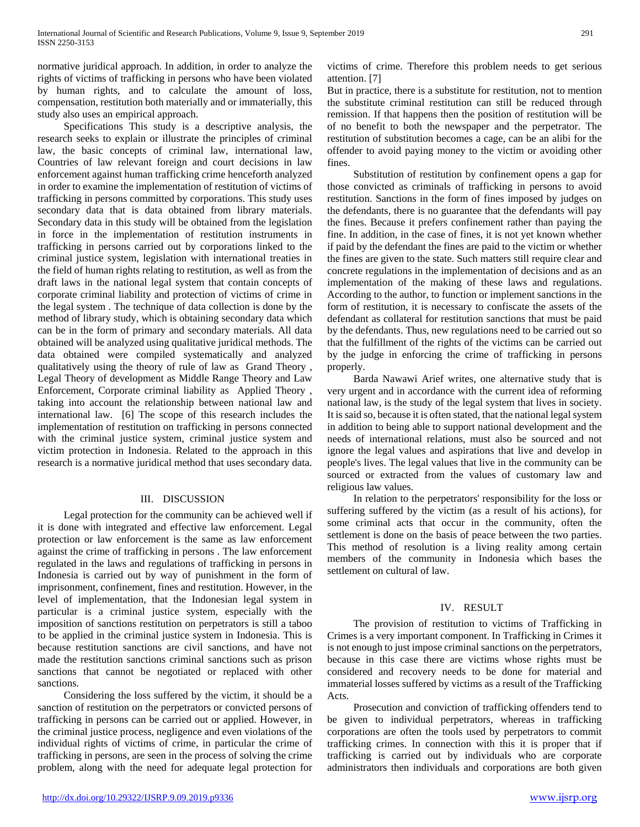normative juridical approach. In addition, in order to analyze the rights of victims of trafficking in persons who have been violated by human rights, and to calculate the amount of loss, compensation, restitution both materially and or immaterially, this study also uses an empirical approach.

 Specifications This study is a descriptive analysis, the research seeks to explain or illustrate the principles of criminal law, the basic concepts of criminal law, international law, Countries of law relevant foreign and court decisions in law enforcement against human trafficking crime henceforth analyzed in order to examine the implementation of restitution of victims of trafficking in persons committed by corporations. This study uses secondary data that is data obtained from library materials. Secondary data in this study will be obtained from the legislation in force in the implementation of restitution instruments in trafficking in persons carried out by corporations linked to the criminal justice system, legislation with international treaties in the field of human rights relating to restitution, as well as from the draft laws in the national legal system that contain concepts of corporate criminal liability and protection of victims of crime in the legal system . The technique of data collection is done by the method of library study, which is obtaining secondary data which can be in the form of primary and secondary materials. All data obtained will be analyzed using qualitative juridical methods. The data obtained were compiled systematically and analyzed qualitatively using the theory of rule of law as Grand Theory , Legal Theory of development as Middle Range Theory and Law Enforcement, Corporate criminal liability as Applied Theory , taking into account the relationship between national law and international law. [6] The scope of this research includes the implementation of restitution on trafficking in persons connected with the criminal justice system, criminal justice system and victim protection in Indonesia. Related to the approach in this research is a normative juridical method that uses secondary data.

## III. DISCUSSION

 Legal protection for the community can be achieved well if it is done with integrated and effective law enforcement. Legal protection or law enforcement is the same as law enforcement against the crime of trafficking in persons . The law enforcement regulated in the laws and regulations of trafficking in persons in Indonesia is carried out by way of punishment in the form of imprisonment, confinement, fines and restitution. However, in the level of implementation, that the Indonesian legal system in particular is a criminal justice system, especially with the imposition of sanctions restitution on perpetrators is still a taboo to be applied in the criminal justice system in Indonesia. This is because restitution sanctions are civil sanctions, and have not made the restitution sanctions criminal sanctions such as prison sanctions that cannot be negotiated or replaced with other sanctions.

 Considering the loss suffered by the victim, it should be a sanction of restitution on the perpetrators or convicted persons of trafficking in persons can be carried out or applied. However, in the criminal justice process, negligence and even violations of the individual rights of victims of crime, in particular the crime of trafficking in persons, are seen in the process of solving the crime problem, along with the need for adequate legal protection for victims of crime. Therefore this problem needs to get serious attention. [7]

But in practice, there is a substitute for restitution, not to mention the substitute criminal restitution can still be reduced through remission. If that happens then the position of restitution will be of no benefit to both the newspaper and the perpetrator. The restitution of substitution becomes a cage, can be an alibi for the offender to avoid paying money to the victim or avoiding other fines.

 Substitution of restitution by confinement opens a gap for those convicted as criminals of trafficking in persons to avoid restitution. Sanctions in the form of fines imposed by judges on the defendants, there is no guarantee that the defendants will pay the fines. Because it prefers confinement rather than paying the fine. In addition, in the case of fines, it is not yet known whether if paid by the defendant the fines are paid to the victim or whether the fines are given to the state. Such matters still require clear and concrete regulations in the implementation of decisions and as an implementation of the making of these laws and regulations. According to the author, to function or implement sanctions in the form of restitution, it is necessary to confiscate the assets of the defendant as collateral for restitution sanctions that must be paid by the defendants. Thus, new regulations need to be carried out so that the fulfillment of the rights of the victims can be carried out by the judge in enforcing the crime of trafficking in persons properly.

 Barda Nawawi Arief writes, one alternative study that is very urgent and in accordance with the current idea of reforming national law, is the study of the legal system that lives in society. It is said so, because it is often stated, that the national legal system in addition to being able to support national development and the needs of international relations, must also be sourced and not ignore the legal values and aspirations that live and develop in people's lives. The legal values that live in the community can be sourced or extracted from the values of customary law and religious law values.

 In relation to the perpetrators' responsibility for the loss or suffering suffered by the victim (as a result of his actions), for some criminal acts that occur in the community, often the settlement is done on the basis of peace between the two parties. This method of resolution is a living reality among certain members of the community in Indonesia which bases the settlement on cultural of law.

## IV. RESULT

 The provision of restitution to victims of Trafficking in Crimes is a very important component. In Trafficking in Crimes it is not enough to just impose criminal sanctions on the perpetrators, because in this case there are victims whose rights must be considered and recovery needs to be done for material and immaterial losses suffered by victims as a result of the Trafficking Acts.

 Prosecution and conviction of trafficking offenders tend to be given to individual perpetrators, whereas in trafficking corporations are often the tools used by perpetrators to commit trafficking crimes. In connection with this it is proper that if trafficking is carried out by individuals who are corporate administrators then individuals and corporations are both given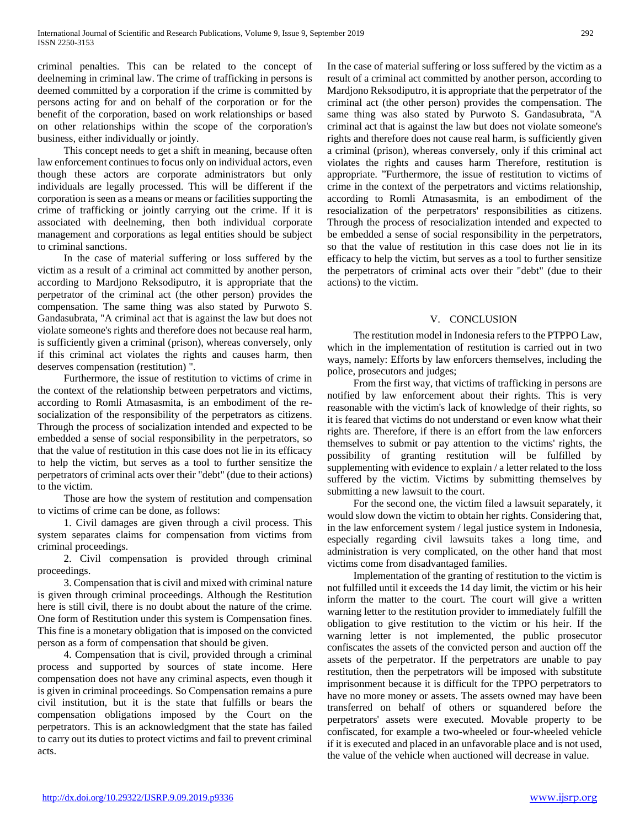criminal penalties. This can be related to the concept of deelneming in criminal law. The crime of trafficking in persons is deemed committed by a corporation if the crime is committed by persons acting for and on behalf of the corporation or for the benefit of the corporation, based on work relationships or based on other relationships within the scope of the corporation's business, either individually or jointly.

 This concept needs to get a shift in meaning, because often law enforcement continues to focus only on individual actors, even though these actors are corporate administrators but only individuals are legally processed. This will be different if the corporation is seen as a means or means or facilities supporting the crime of trafficking or jointly carrying out the crime. If it is associated with deelneming, then both individual corporate management and corporations as legal entities should be subject to criminal sanctions.

 In the case of material suffering or loss suffered by the victim as a result of a criminal act committed by another person, according to Mardjono Reksodiputro, it is appropriate that the perpetrator of the criminal act (the other person) provides the compensation. The same thing was also stated by Purwoto S. Gandasubrata, "A criminal act that is against the law but does not violate someone's rights and therefore does not because real harm, is sufficiently given a criminal (prison), whereas conversely, only if this criminal act violates the rights and causes harm, then deserves compensation (restitution) ".

 Furthermore, the issue of restitution to victims of crime in the context of the relationship between perpetrators and victims, according to Romli Atmasasmita, is an embodiment of the resocialization of the responsibility of the perpetrators as citizens. Through the process of socialization intended and expected to be embedded a sense of social responsibility in the perpetrators, so that the value of restitution in this case does not lie in its efficacy to help the victim, but serves as a tool to further sensitize the perpetrators of criminal acts over their "debt" (due to their actions) to the victim.

 Those are how the system of restitution and compensation to victims of crime can be done, as follows:

 1. Civil damages are given through a civil process. This system separates claims for compensation from victims from criminal proceedings.

 2. Civil compensation is provided through criminal proceedings.

 3. Compensation that is civil and mixed with criminal nature is given through criminal proceedings. Although the Restitution here is still civil, there is no doubt about the nature of the crime. One form of Restitution under this system is Compensation fines. This fine is a monetary obligation that is imposed on the convicted person as a form of compensation that should be given.

 4. Compensation that is civil, provided through a criminal process and supported by sources of state income. Here compensation does not have any criminal aspects, even though it is given in criminal proceedings. So Compensation remains a pure civil institution, but it is the state that fulfills or bears the compensation obligations imposed by the Court on the perpetrators. This is an acknowledgment that the state has failed to carry out its duties to protect victims and fail to prevent criminal acts.

In the case of material suffering or loss suffered by the victim as a result of a criminal act committed by another person, according to Mardjono Reksodiputro, it is appropriate that the perpetrator of the criminal act (the other person) provides the compensation. The same thing was also stated by Purwoto S. Gandasubrata, "A criminal act that is against the law but does not violate someone's rights and therefore does not cause real harm, is sufficiently given a criminal (prison), whereas conversely, only if this criminal act violates the rights and causes harm Therefore, restitution is appropriate. "Furthermore, the issue of restitution to victims of crime in the context of the perpetrators and victims relationship, according to Romli Atmasasmita, is an embodiment of the resocialization of the perpetrators' responsibilities as citizens. Through the process of resocialization intended and expected to be embedded a sense of social responsibility in the perpetrators, so that the value of restitution in this case does not lie in its efficacy to help the victim, but serves as a tool to further sensitize the perpetrators of criminal acts over their "debt" (due to their actions) to the victim.

## V. CONCLUSION

 The restitution model in Indonesia refers to the PTPPO Law, which in the implementation of restitution is carried out in two ways, namely: Efforts by law enforcers themselves, including the police, prosecutors and judges;

 From the first way, that victims of trafficking in persons are notified by law enforcement about their rights. This is very reasonable with the victim's lack of knowledge of their rights, so it is feared that victims do not understand or even know what their rights are. Therefore, if there is an effort from the law enforcers themselves to submit or pay attention to the victims' rights, the possibility of granting restitution will be fulfilled by supplementing with evidence to explain / a letter related to the loss suffered by the victim. Victims by submitting themselves by submitting a new lawsuit to the court.

 For the second one, the victim filed a lawsuit separately, it would slow down the victim to obtain her rights. Considering that, in the law enforcement system / legal justice system in Indonesia, especially regarding civil lawsuits takes a long time, and administration is very complicated, on the other hand that most victims come from disadvantaged families.

 Implementation of the granting of restitution to the victim is not fulfilled until it exceeds the 14 day limit, the victim or his heir inform the matter to the court. The court will give a written warning letter to the restitution provider to immediately fulfill the obligation to give restitution to the victim or his heir. If the warning letter is not implemented, the public prosecutor confiscates the assets of the convicted person and auction off the assets of the perpetrator. If the perpetrators are unable to pay restitution, then the perpetrators will be imposed with substitute imprisonment because it is difficult for the TPPO perpetrators to have no more money or assets. The assets owned may have been transferred on behalf of others or squandered before the perpetrators' assets were executed. Movable property to be confiscated, for example a two-wheeled or four-wheeled vehicle if it is executed and placed in an unfavorable place and is not used, the value of the vehicle when auctioned will decrease in value.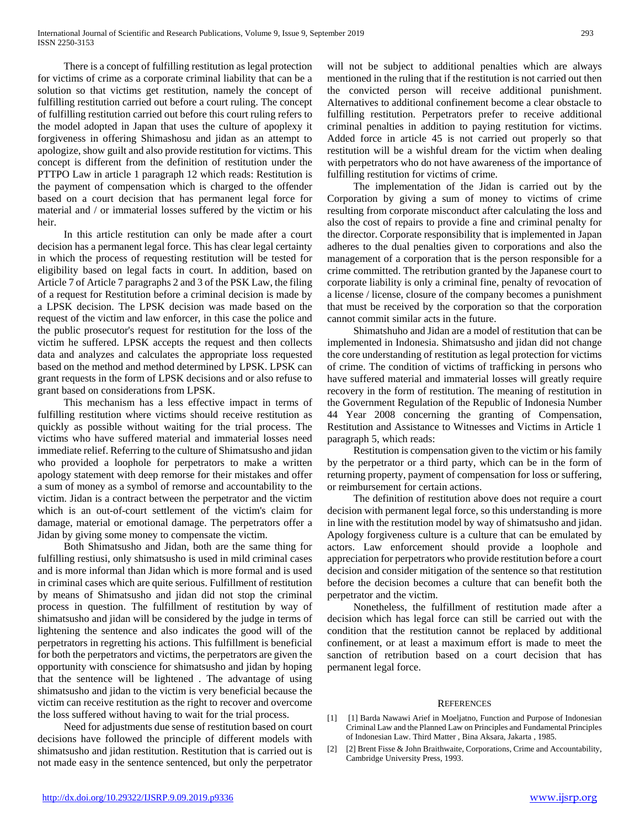There is a concept of fulfilling restitution as legal protection for victims of crime as a corporate criminal liability that can be a solution so that victims get restitution, namely the concept of fulfilling restitution carried out before a court ruling. The concept of fulfilling restitution carried out before this court ruling refers to the model adopted in Japan that uses the culture of apoplexy it forgiveness in offering Shimashosu and jidan as an attempt to apologize, show guilt and also provide restitution for victims. This concept is different from the definition of restitution under the PTTPO Law in article 1 paragraph 12 which reads: Restitution is the payment of compensation which is charged to the offender based on a court decision that has permanent legal force for material and / or immaterial losses suffered by the victim or his heir.

 In this article restitution can only be made after a court decision has a permanent legal force. This has clear legal certainty in which the process of requesting restitution will be tested for eligibility based on legal facts in court. In addition, based on Article 7 of Article 7 paragraphs 2 and 3 of the PSK Law, the filing of a request for Restitution before a criminal decision is made by a LPSK decision. The LPSK decision was made based on the request of the victim and law enforcer, in this case the police and the public prosecutor's request for restitution for the loss of the victim he suffered. LPSK accepts the request and then collects data and analyzes and calculates the appropriate loss requested based on the method and method determined by LPSK. LPSK can grant requests in the form of LPSK decisions and or also refuse to grant based on considerations from LPSK.

 This mechanism has a less effective impact in terms of fulfilling restitution where victims should receive restitution as quickly as possible without waiting for the trial process. The victims who have suffered material and immaterial losses need immediate relief. Referring to the culture of Shimatsusho and jidan who provided a loophole for perpetrators to make a written apology statement with deep remorse for their mistakes and offer a sum of money as a symbol of remorse and accountability to the victim. Jidan is a contract between the perpetrator and the victim which is an out-of-court settlement of the victim's claim for damage, material or emotional damage. The perpetrators offer a Jidan by giving some money to compensate the victim.

 Both Shimatsusho and Jidan, both are the same thing for fulfilling restiusi, only shimatsusho is used in mild criminal cases and is more informal than Jidan which is more formal and is used in criminal cases which are quite serious. Fulfillment of restitution by means of Shimatsusho and jidan did not stop the criminal process in question. The fulfillment of restitution by way of shimatsusho and jidan will be considered by the judge in terms of lightening the sentence and also indicates the good will of the perpetrators in regretting his actions. This fulfillment is beneficial for both the perpetrators and victims, the perpetrators are given the opportunity with conscience for shimatsusho and jidan by hoping that the sentence will be lightened . The advantage of using shimatsusho and jidan to the victim is very beneficial because the victim can receive restitution as the right to recover and overcome the loss suffered without having to wait for the trial process.

 Need for adjustments due sense of restitution based on court decisions have followed the principle of different models with shimatsusho and jidan restitution. Restitution that is carried out is not made easy in the sentence sentenced, but only the perpetrator

will not be subject to additional penalties which are always mentioned in the ruling that if the restitution is not carried out then the convicted person will receive additional punishment. Alternatives to additional confinement become a clear obstacle to fulfilling restitution. Perpetrators prefer to receive additional criminal penalties in addition to paying restitution for victims. Added force in article 45 is not carried out properly so that restitution will be a wishful dream for the victim when dealing with perpetrators who do not have awareness of the importance of fulfilling restitution for victims of crime.

 The implementation of the Jidan is carried out by the Corporation by giving a sum of money to victims of crime resulting from corporate misconduct after calculating the loss and also the cost of repairs to provide a fine and criminal penalty for the director. Corporate responsibility that is implemented in Japan adheres to the dual penalties given to corporations and also the management of a corporation that is the person responsible for a crime committed. The retribution granted by the Japanese court to corporate liability is only a criminal fine, penalty of revocation of a license / license, closure of the company becomes a punishment that must be received by the corporation so that the corporation cannot commit similar acts in the future.

 Shimatshuho and Jidan are a model of restitution that can be implemented in Indonesia. Shimatsusho and jidan did not change the core understanding of restitution as legal protection for victims of crime. The condition of victims of trafficking in persons who have suffered material and immaterial losses will greatly require recovery in the form of restitution. The meaning of restitution in the Government Regulation of the Republic of Indonesia Number 44 Year 2008 concerning the granting of Compensation, Restitution and Assistance to Witnesses and Victims in Article 1 paragraph 5, which reads:

 Restitution is compensation given to the victim or his family by the perpetrator or a third party, which can be in the form of returning property, payment of compensation for loss or suffering, or reimbursement for certain actions.

 The definition of restitution above does not require a court decision with permanent legal force, so this understanding is more in line with the restitution model by way of shimatsusho and jidan. Apology forgiveness culture is a culture that can be emulated by actors. Law enforcement should provide a loophole and appreciation for perpetrators who provide restitution before a court decision and consider mitigation of the sentence so that restitution before the decision becomes a culture that can benefit both the perpetrator and the victim.

 Nonetheless, the fulfillment of restitution made after a decision which has legal force can still be carried out with the condition that the restitution cannot be replaced by additional confinement, or at least a maximum effort is made to meet the sanction of retribution based on a court decision that has permanent legal force.

## **REFERENCES**

- [1] [1] Barda Nawawi Arief in Moeljatno, Function and Purpose of Indonesian Criminal Law and the Planned Law on Principles and Fundamental Principles of Indonesian Law. Third Matter , Bina Aksara, Jakarta , 1985.
- [2] [2] Brent Fisse & John Braithwaite, Corporations, Crime and Accountability, Cambridge University Press, 1993.